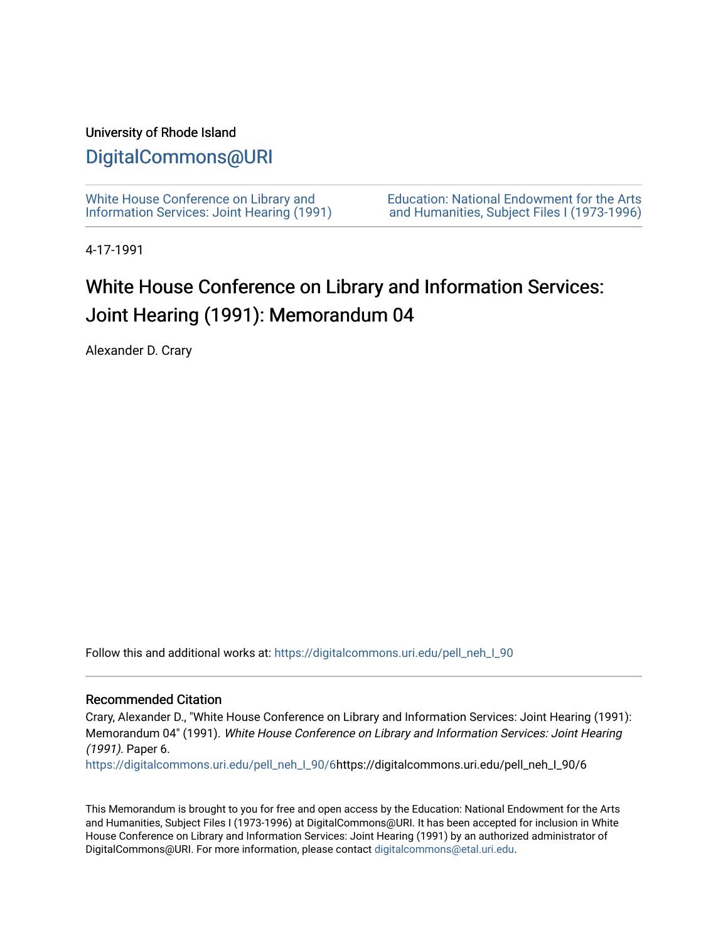## University of Rhode Island

## [DigitalCommons@URI](https://digitalcommons.uri.edu/)

[White House Conference on Library and](https://digitalcommons.uri.edu/pell_neh_I_90) [Information Services: Joint Hearing \(1991\)](https://digitalcommons.uri.edu/pell_neh_I_90) [Education: National Endowment for the Arts](https://digitalcommons.uri.edu/pell_neh_I)  [and Humanities, Subject Files I \(1973-1996\)](https://digitalcommons.uri.edu/pell_neh_I) 

4-17-1991

## White House Conference on Library and Information Services: Joint Hearing (1991): Memorandum 04

Alexander D. Crary

Follow this and additional works at: [https://digitalcommons.uri.edu/pell\\_neh\\_I\\_90](https://digitalcommons.uri.edu/pell_neh_I_90?utm_source=digitalcommons.uri.edu%2Fpell_neh_I_90%2F6&utm_medium=PDF&utm_campaign=PDFCoverPages) 

## Recommended Citation

Crary, Alexander D., "White House Conference on Library and Information Services: Joint Hearing (1991): Memorandum 04" (1991). White House Conference on Library and Information Services: Joint Hearing (1991). Paper 6.

[https://digitalcommons.uri.edu/pell\\_neh\\_I\\_90/6h](https://digitalcommons.uri.edu/pell_neh_I_90/6?utm_source=digitalcommons.uri.edu%2Fpell_neh_I_90%2F6&utm_medium=PDF&utm_campaign=PDFCoverPages)ttps://digitalcommons.uri.edu/pell\_neh\_I\_90/6

This Memorandum is brought to you for free and open access by the Education: National Endowment for the Arts and Humanities, Subject Files I (1973-1996) at DigitalCommons@URI. It has been accepted for inclusion in White House Conference on Library and Information Services: Joint Hearing (1991) by an authorized administrator of DigitalCommons@URI. For more information, please contact [digitalcommons@etal.uri.edu.](mailto:digitalcommons@etal.uri.edu)